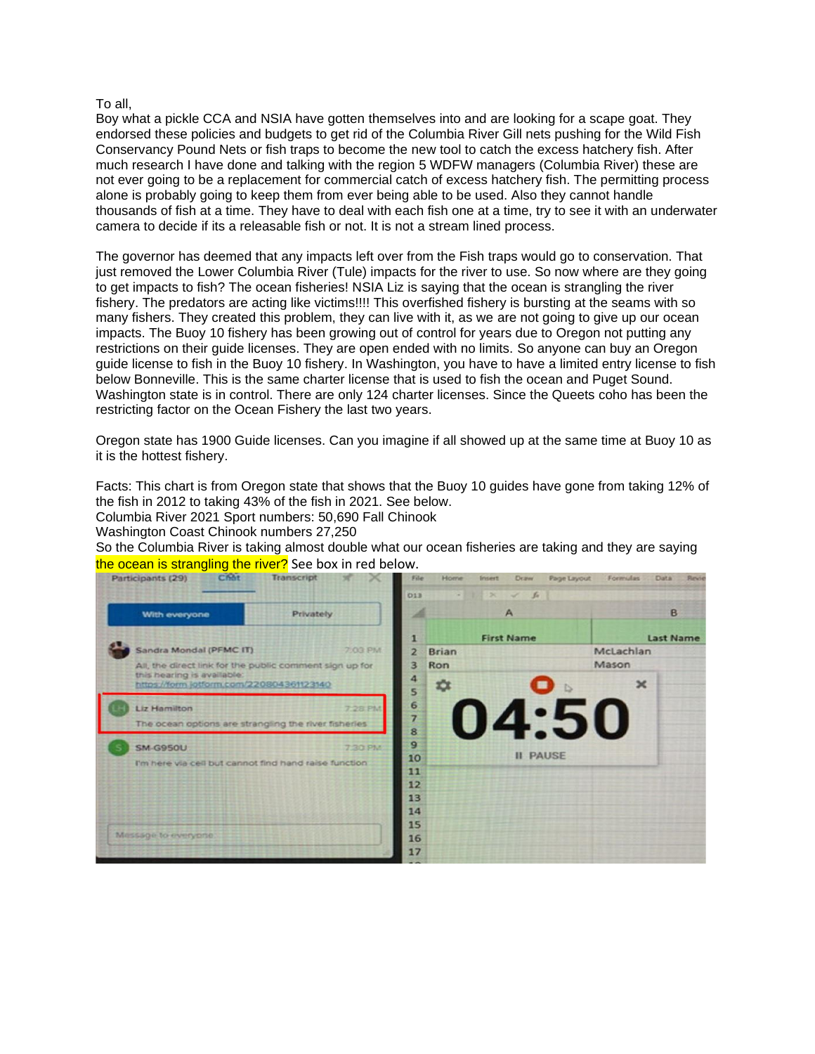## To all,

Boy what a pickle CCA and NSIA have gotten themselves into and are looking for a scape goat. They endorsed these policies and budgets to get rid of the Columbia River Gill nets pushing for the Wild Fish Conservancy Pound Nets or fish traps to become the new tool to catch the excess hatchery fish. After much research I have done and talking with the region 5 WDFW managers (Columbia River) these are not ever going to be a replacement for commercial catch of excess hatchery fish. The permitting process alone is probably going to keep them from ever being able to be used. Also they cannot handle thousands of fish at a time. They have to deal with each fish one at a time, try to see it with an underwater camera to decide if its a releasable fish or not. It is not a stream lined process.

The governor has deemed that any impacts left over from the Fish traps would go to conservation. That just removed the Lower Columbia River (Tule) impacts for the river to use. So now where are they going to get impacts to fish? The ocean fisheries! NSIA Liz is saying that the ocean is strangling the river fishery. The predators are acting like victims!!!! This overfished fishery is bursting at the seams with so many fishers. They created this problem, they can live with it, as we are not going to give up our ocean impacts. The Buoy 10 fishery has been growing out of control for years due to Oregon not putting any restrictions on their guide licenses. They are open ended with no limits. So anyone can buy an Oregon guide license to fish in the Buoy 10 fishery. In Washington, you have to have a limited entry license to fish below Bonneville. This is the same charter license that is used to fish the ocean and Puget Sound. Washington state is in control. There are only 124 charter licenses. Since the Queets coho has been the restricting factor on the Ocean Fishery the last two years.

Oregon state has 1900 Guide licenses. Can you imagine if all showed up at the same time at Buoy 10 as it is the hottest fishery.

Facts: This chart is from Oregon state that shows that the Buoy 10 guides have gone from taking 12% of the fish in 2012 to taking 43% of the fish in 2021. See below.

Columbia River 2021 Sport numbers: 50,690 Fall Chinook

Washington Coast Chinook numbers 27,250

So the Columbia River is taking almost double what our ocean fisheries are taking and they are saying the ocean is strangling the river? See box in red below.

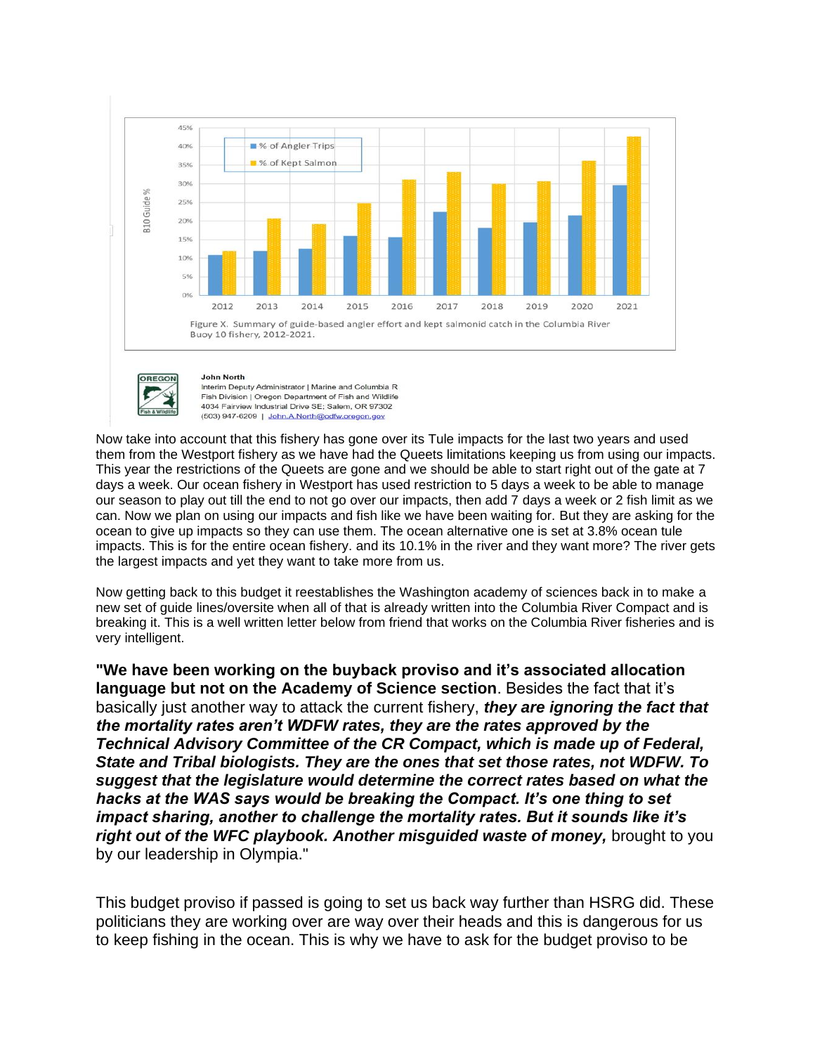



Interim Deputy Administrator | Marine and Columbia R Fish Division | Oregon Department of Fish and Wildlife 4034 Fairview Industrial Drive SE: Salem, OR 97302 (503) 947-6209 | John.A.North@odfw.oregon.gov

Now take into account that this fishery has gone over its Tule impacts for the last two years and used them from the Westport fishery as we have had the Queets limitations keeping us from using our impacts. This year the restrictions of the Queets are gone and we should be able to start right out of the gate at 7 days a week. Our ocean fishery in Westport has used restriction to 5 days a week to be able to manage our season to play out till the end to not go over our impacts, then add 7 days a week or 2 fish limit as we can. Now we plan on using our impacts and fish like we have been waiting for. But they are asking for the ocean to give up impacts so they can use them. The ocean alternative one is set at 3.8% ocean tule impacts. This is for the entire ocean fishery. and its 10.1% in the river and they want more? The river gets the largest impacts and yet they want to take more from us.

Now getting back to this budget it reestablishes the Washington academy of sciences back in to make a new set of guide lines/oversite when all of that is already written into the Columbia River Compact and is breaking it. This is a well written letter below from friend that works on the Columbia River fisheries and is very intelligent.

**"We have been working on the buyback proviso and it's associated allocation language but not on the Academy of Science section**. Besides the fact that it's basically just another way to attack the current fishery, *they are ignoring the fact that the mortality rates aren't WDFW rates, they are the rates approved by the Technical Advisory Committee of the CR Compact, which is made up of Federal, State and Tribal biologists. They are the ones that set those rates, not WDFW. To suggest that the legislature would determine the correct rates based on what the hacks at the WAS says would be breaking the Compact. It's one thing to set impact sharing, another to challenge the mortality rates. But it sounds like it's right out of the WFC playbook. Another misguided waste of money,* brought to you by our leadership in Olympia."

This budget proviso if passed is going to set us back way further than HSRG did. These politicians they are working over are way over their heads and this is dangerous for us to keep fishing in the ocean. This is why we have to ask for the budget proviso to be